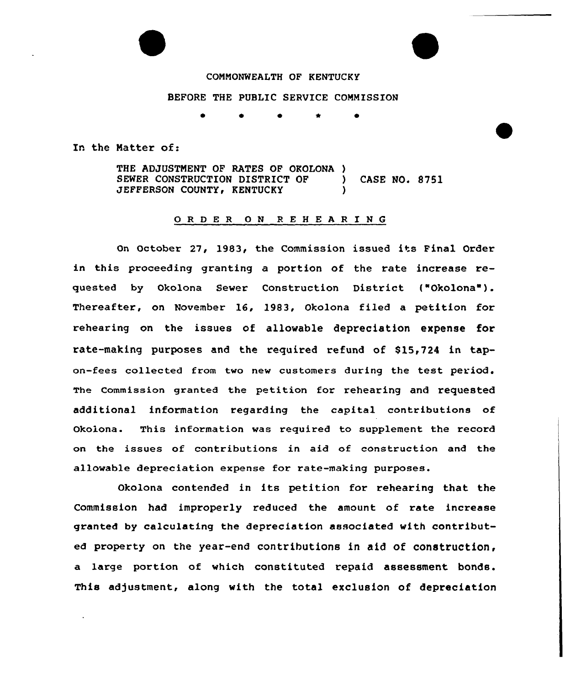

## COMMONWEALTH OF KENTUCKY

## BEFORE THE PUBLIC SERUICE COMMISSION

In the Matter of:

THE ADJUSTMENT OF RATES OF OKOLONA ) SEWER CONSTRUCTION DISTRICT OF (ASE NO. 8751)<br>JEFFERSON COUNTY, KENTUCKY JEFFERSON COUNTY, KENTUCKY

## 0 <sup>R</sup> <sup>D</sup> <sup>E</sup> <sup>R</sup> 0 <sup>N</sup> <sup>R</sup> <sup>E</sup> <sup>H</sup> <sup>E</sup> <sup>A</sup> <sup>R</sup> I <sup>N</sup> 6

On October 27, 1983, the Commission issued its Final Order in this proceeding granting a portion of the rate increase requested by Okolona Sewer Construction District ("Okolona"). Thereafter, on November 16, 19S3, Okolona filed a petition for rehearing on the issues ot allowable depreciation expense for rate-making purposes and the required refund of \$15,724 in tapon-fees collected from two new customers during the test period. The Commission granted the petition for rehearing and requested additional information regarding the capital contributions of Okolona. This information was required to supplement the record on the issues of contributions in aid of construction and the allowable depreciation expense for rate-making purposes.

Okolona contended in its petition for rehearing that the Commission had improperly reduced the amount of rate increase granted by calculating the depreciation associated with contributed property on the year-end contributions in aid of construction, a large portion of which constituted repaid assessment bonds. This adjustment, along with the total exclusion of depreciation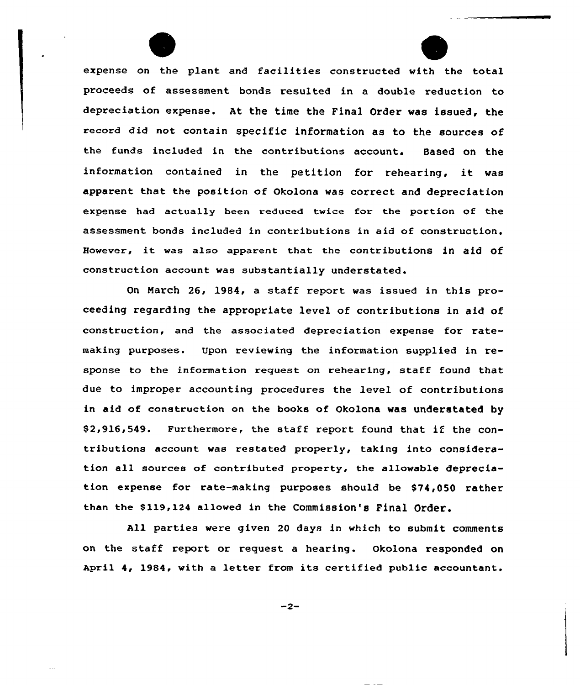expense on the plant and facilities constructed with the total proceeds of assessment bonds resulted in a double reduction to depreciation expense. At the time the Final Order was issued, the record did not contain specific information as to the sources of the funds included in the contributions account. Based on the information contained in the petition for rehearing, it was apparent that the position of Okolona was correct and depreciation expense had actually been reduced twice for the portion of the assessment bonds included in contributions in aid of construction. However, it was also apparent that the contributions in aid Of construction account was substantially understated.

On Narch 26, 1984, a staff report was issued in this proceeding regarding the appropriate level of contributions in aid of construction, and the associated depreciation expense for ratemaking purposes. Upon reviewing the information supplied in response to the information request on rehearing, staff found that due to improper accounting procedures the level of contributions in aid of construction on the books of Okolona was understated by \$ 2,916,549. Furthermore, the staff report found that if the contributions account was restated properly, taking into consideration all sources of contributed property, the allowable depreciation expense for rate-making purposes should be \$74,050 rather than the \$119,124 allowed in the Commission's Final Order.

All parties were given 20 days in which to submit comments on the staff report or request a hearing. Okolona responded on April 4, 1984, with <sup>a</sup> letter from its certified public accountant.

 $-2-$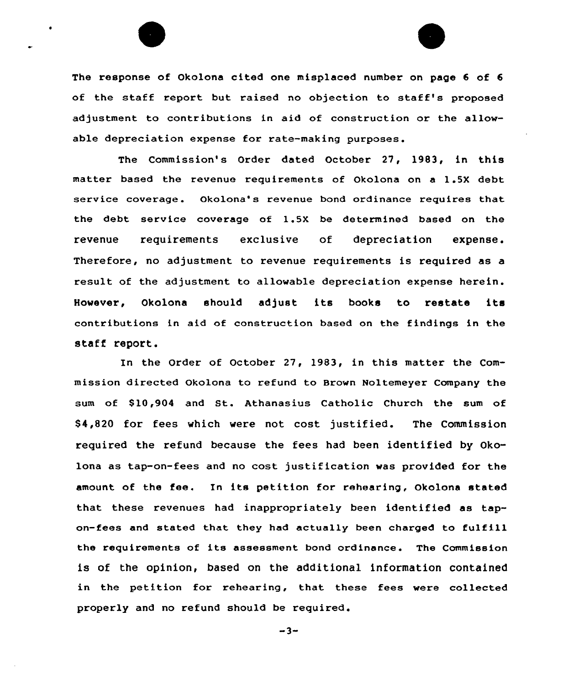The response of Okolona cited one misplaced number on page 6 of 6 of the staff report but raised no objection to staff's proposed adjustment to contributions in aid of construction or the allowable depreciation expense for rate-making purposes.

The Commission's Order dated October 27, 1983, in this matter based the revenue requirements of Okolona on a 1.5X debt service coverage. Okolona's revenue bond ordinance requires that the debt service coverage of 1.5X be determined based on the revenue requirements exclusive of depreciation expense. Therefore, no adjustment to revenue requirements is required as a result of the adjustment to allowable depreciation expense herein. However, Okolona should adjust its books to restate its contributions in aid of construction based on the findings in the staff report.

In the Order of October 27, 1983, in this matter the Commission directed okolona to refund to Brown Noltemeyer Company the sum of 810,904 and St. Athanasius Catholic Church the sum of 84,820 for fees which were not cost justified. The Commission required the refund because the fees had been identified by Okolona as tap-on-fees and no cost justification was provided for the amount of the fee. In its petition for rehearing, Okolona stated that these revenues had inappropriately been identified as tapon-fees and stated that they had actually been charged to fulfill the requirements of its assessment bond ordinance. The Commission is of the opinion, based on the additional information contained in the petition for rehearing, that these fees were collected properly and no refund should be required.

 $-3-$